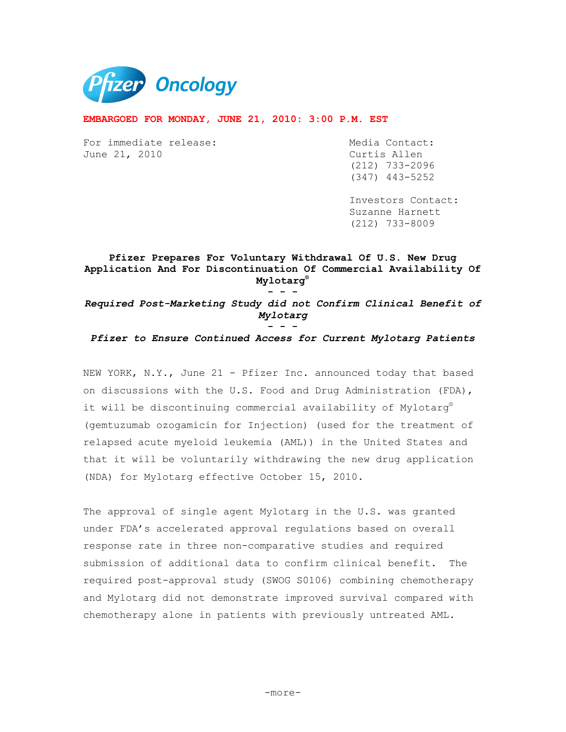

#### **EMBARGOED FOR MONDAY, JUNE 21, 2010: 3:00 P.M. EST**

For immediate release: Media Contact: June 21, 2010 Curtis Allen

 (212) 733-2096 (347) 443-5252

 Investors Contact: Suzanne Harnett (212) 733-8009

## **Pfizer Prepares For Voluntary Withdrawal Of U.S. New Drug Application And For Discontinuation Of Commercial Availability Of Mylotarg®**

**- - -** 

*Required Post-Marketing Study did not Confirm Clinical Benefit of Mylotarg* 

**- - -**  *Pfizer to Ensure Continued Access for Current Mylotarg Patients* 

NEW YORK, N.Y., June 21 - Pfizer Inc. announced today that based on discussions with the U.S. Food and Drug Administration (FDA), it will be discontinuing commercial availability of Mylotarg® (gemtuzumab ozogamicin for Injection) (used for the treatment of relapsed acute myeloid leukemia (AML)) in the United States and that it will be voluntarily withdrawing the new drug application (NDA) for Mylotarg effective October 15, 2010.

The approval of single agent Mylotarg in the U.S. was granted under FDA's accelerated approval regulations based on overall response rate in three non-comparative studies and required submission of additional data to confirm clinical benefit. The required post-approval study (SWOG S0106) combining chemotherapy and Mylotarg did not demonstrate improved survival compared with chemotherapy alone in patients with previously untreated AML.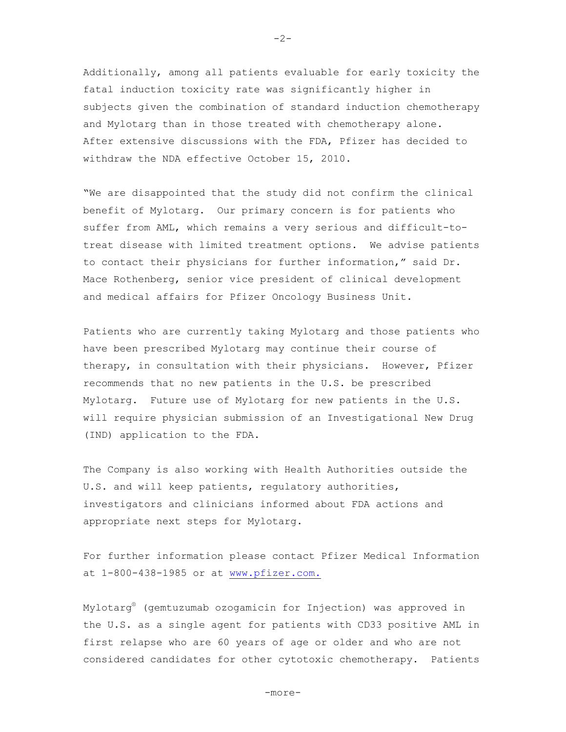Additionally, among all patients evaluable for early toxicity the fatal induction toxicity rate was significantly higher in subjects given the combination of standard induction chemotherapy and Mylotarg than in those treated with chemotherapy alone. After extensive discussions with the FDA, Pfizer has decided to withdraw the NDA effective October 15, 2010.

"We are disappointed that the study did not confirm the clinical benefit of Mylotarg. Our primary concern is for patients who suffer from AML, which remains a very serious and difficult-totreat disease with limited treatment options. We advise patients to contact their physicians for further information," said Dr. Mace Rothenberg, senior vice president of clinical development and medical affairs for Pfizer Oncology Business Unit.

Patients who are currently taking Mylotarg and those patients who have been prescribed Mylotarg may continue their course of therapy, in consultation with their physicians. However, Pfizer recommends that no new patients in the U.S. be prescribed Mylotarg. Future use of Mylotarg for new patients in the U.S. will require physician submission of an Investigational New Drug (IND) application to the FDA.

The Company is also working with Health Authorities outside the U.S. and will keep patients, regulatory authorities, investigators and clinicians informed about FDA actions and appropriate next steps for Mylotarg.

For further information please contact Pfizer Medical Information at 1-800-438-1985 or at www.pfizer.com.

Mylotarg® (gemtuzumab ozogamicin for Injection) was approved in the U.S. as a single agent for patients with CD33 positive AML in first relapse who are 60 years of age or older and who are not considered candidates for other cytotoxic chemotherapy. Patients

 $-2-$ 

-more-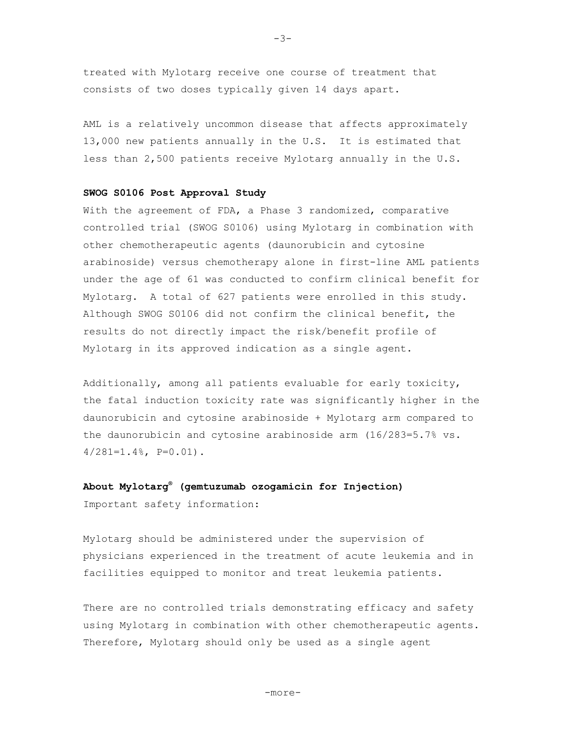treated with Mylotarg receive one course of treatment that consists of two doses typically given 14 days apart.

AML is a relatively uncommon disease that affects approximately 13,000 new patients annually in the U.S. It is estimated that less than 2,500 patients receive Mylotarg annually in the U.S.

#### **SWOG S0106 Post Approval Study**

With the agreement of FDA, a Phase 3 randomized, comparative controlled trial (SWOG S0106) using Mylotarg in combination with other chemotherapeutic agents (daunorubicin and cytosine arabinoside) versus chemotherapy alone in first-line AML patients under the age of 61 was conducted to confirm clinical benefit for Mylotarg. A total of 627 patients were enrolled in this study. Although SWOG S0106 did not confirm the clinical benefit, the results do not directly impact the risk/benefit profile of Mylotarg in its approved indication as a single agent.

Additionally, among all patients evaluable for early toxicity, the fatal induction toxicity rate was significantly higher in the daunorubicin and cytosine arabinoside + Mylotarg arm compared to the daunorubicin and cytosine arabinoside arm (16/283=5.7% vs.  $4/281=1.4%$ ,  $P=0.01$ ).

# **About Mylotarg® (gemtuzumab ozogamicin for Injection)**

Important safety information:

Mylotarg should be administered under the supervision of physicians experienced in the treatment of acute leukemia and in facilities equipped to monitor and treat leukemia patients.

There are no controlled trials demonstrating efficacy and safety using Mylotarg in combination with other chemotherapeutic agents. Therefore, Mylotarg should only be used as a single agent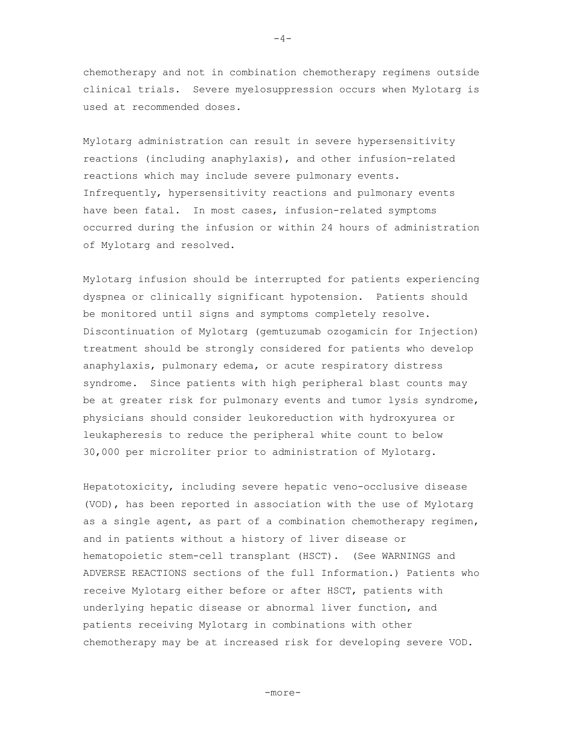chemotherapy and not in combination chemotherapy regimens outside clinical trials. Severe myelosuppression occurs when Mylotarg is used at recommended doses.

Mylotarg administration can result in severe hypersensitivity reactions (including anaphylaxis), and other infusion-related reactions which may include severe pulmonary events. Infrequently, hypersensitivity reactions and pulmonary events have been fatal. In most cases, infusion-related symptoms occurred during the infusion or within 24 hours of administration of Mylotarg and resolved.

Mylotarg infusion should be interrupted for patients experiencing dyspnea or clinically significant hypotension. Patients should be monitored until signs and symptoms completely resolve. Discontinuation of Mylotarg (gemtuzumab ozogamicin for Injection) treatment should be strongly considered for patients who develop anaphylaxis, pulmonary edema, or acute respiratory distress syndrome. Since patients with high peripheral blast counts may be at greater risk for pulmonary events and tumor lysis syndrome, physicians should consider leukoreduction with hydroxyurea or leukapheresis to reduce the peripheral white count to below 30,000 per microliter prior to administration of Mylotarg.

Hepatotoxicity, including severe hepatic veno-occlusive disease (VOD), has been reported in association with the use of Mylotarg as a single agent, as part of a combination chemotherapy regimen, and in patients without a history of liver disease or hematopoietic stem-cell transplant (HSCT). (See WARNINGS and ADVERSE REACTIONS sections of the full Information.) Patients who receive Mylotarg either before or after HSCT, patients with underlying hepatic disease or abnormal liver function, and patients receiving Mylotarg in combinations with other chemotherapy may be at increased risk for developing severe VOD.

 $-4-$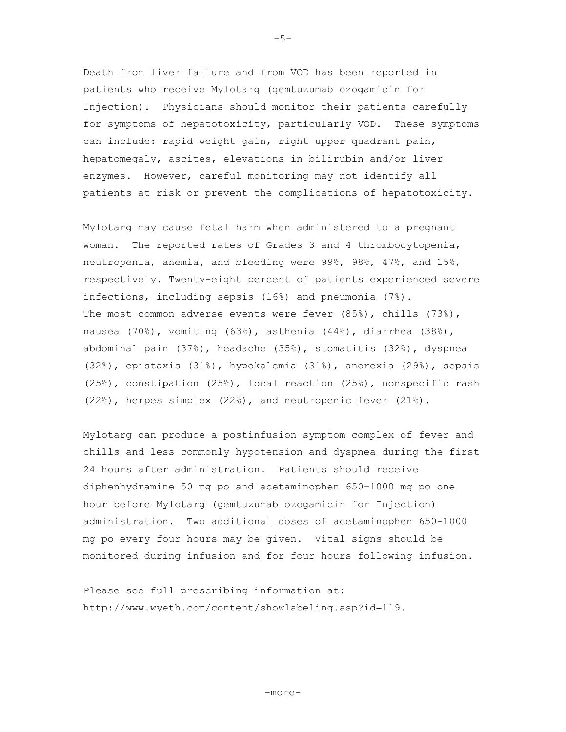Death from liver failure and from VOD has been reported in patients who receive Mylotarg (gemtuzumab ozogamicin for Injection). Physicians should monitor their patients carefully for symptoms of hepatotoxicity, particularly VOD. These symptoms can include: rapid weight gain, right upper quadrant pain, hepatomegaly, ascites, elevations in bilirubin and/or liver enzymes. However, careful monitoring may not identify all patients at risk or prevent the complications of hepatotoxicity.

Mylotarg may cause fetal harm when administered to a pregnant woman. The reported rates of Grades 3 and 4 thrombocytopenia, neutropenia, anemia, and bleeding were 99%, 98%, 47%, and 15%, respectively. Twenty-eight percent of patients experienced severe infections, including sepsis (16%) and pneumonia (7%). The most common adverse events were fever  $(85%)$ , chills  $(73%)$ , nausea (70%), vomiting (63%), asthenia (44%), diarrhea (38%), abdominal pain (37%), headache (35%), stomatitis (32%), dyspnea (32%), epistaxis (31%), hypokalemia (31%), anorexia (29%), sepsis (25%), constipation (25%), local reaction (25%), nonspecific rash (22%), herpes simplex (22%), and neutropenic fever (21%).

Mylotarg can produce a postinfusion symptom complex of fever and chills and less commonly hypotension and dyspnea during the first 24 hours after administration. Patients should receive diphenhydramine 50 mg po and acetaminophen 650-1000 mg po one hour before Mylotarg (gemtuzumab ozogamicin for Injection) administration. Two additional doses of acetaminophen 650-1000 mg po every four hours may be given. Vital signs should be monitored during infusion and for four hours following infusion.

Please see full prescribing information at: http://www.wyeth.com/content/showlabeling.asp?id=119.

 $-5-$